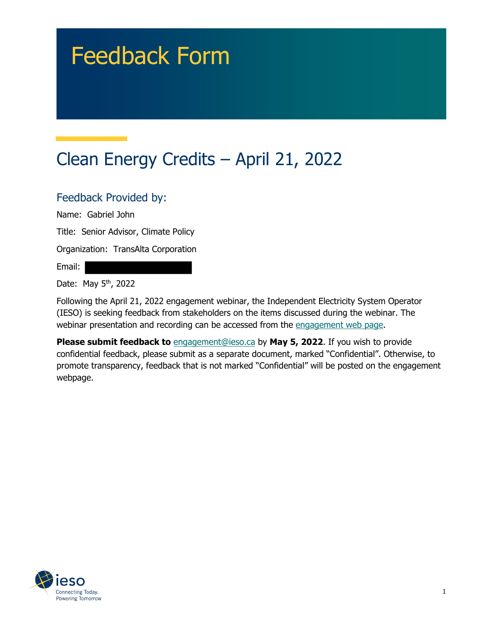# Feedback Form

# Clean Energy Credits – April 21, 2022

#### Feedback Provided by:

Name: Gabriel John

Title: Senior Advisor, Climate Policy

Organization: TransAlta Corporation

Email:

Date: May 5<sup>th</sup>, 2022

Following the April 21, 2022 engagement webinar, the Independent Electricity System Operator (IESO) is seeking feedback from stakeholders on the items discussed during the webinar. The webinar presentation and recording can be accessed from the [engagement web page.](https://www.ieso.ca/en/Sector-Participants/Engagement-Initiatives/Engagements/Clean-Energy-Credits)

**Please submit feedback to** [engagement@ieso.ca](mailto:engagement@ieso.ca) by **May 5, 2022**. If you wish to provide confidential feedback, please submit as a separate document, marked "Confidential". Otherwise, to promote transparency, feedback that is not marked "Confidential" will be posted on the engagement webpage.

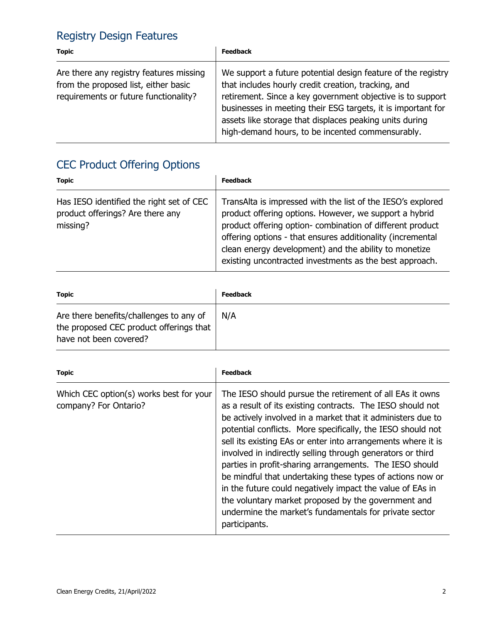## Registry Design Features

| <b>Topic</b>                                                                                                             | <b>Feedback</b>                                                                                                                                                                                                                                                                                                                                                  |
|--------------------------------------------------------------------------------------------------------------------------|------------------------------------------------------------------------------------------------------------------------------------------------------------------------------------------------------------------------------------------------------------------------------------------------------------------------------------------------------------------|
| Are there any registry features missing<br>from the proposed list, either basic<br>requirements or future functionality? | We support a future potential design feature of the registry<br>that includes hourly credit creation, tracking, and<br>retirement. Since a key government objective is to support<br>businesses in meeting their ESG targets, it is important for<br>assets like storage that displaces peaking units during<br>high-demand hours, to be incented commensurably. |

# CEC Product Offering Options

| <b>Topic</b>                                                                             | <b>Feedback</b>                                                                                                                                                                                                                                                                                                                                                      |
|------------------------------------------------------------------------------------------|----------------------------------------------------------------------------------------------------------------------------------------------------------------------------------------------------------------------------------------------------------------------------------------------------------------------------------------------------------------------|
| Has IESO identified the right set of CEC<br>product offerings? Are there any<br>missing? | TransAlta is impressed with the list of the IESO's explored<br>product offering options. However, we support a hybrid<br>product offering option- combination of different product<br>offering options - that ensures additionality (incremental<br>clean energy development) and the ability to monetize<br>existing uncontracted investments as the best approach. |

| <b>Topic</b>                                                                                                 | <b>Feedback</b> |
|--------------------------------------------------------------------------------------------------------------|-----------------|
| Are there benefits/challenges to any of<br>the proposed CEC product offerings that<br>have not been covered? | N/A             |

| <b>Topic</b>                                                     | <b>Feedback</b>                                                                                                                                                                                                                                                                                                                                                                                                                                                                                                                                                                                                                                                                                           |
|------------------------------------------------------------------|-----------------------------------------------------------------------------------------------------------------------------------------------------------------------------------------------------------------------------------------------------------------------------------------------------------------------------------------------------------------------------------------------------------------------------------------------------------------------------------------------------------------------------------------------------------------------------------------------------------------------------------------------------------------------------------------------------------|
| Which CEC option(s) works best for your<br>company? For Ontario? | The IESO should pursue the retirement of all EAs it owns<br>as a result of its existing contracts. The IESO should not<br>be actively involved in a market that it administers due to<br>potential conflicts. More specifically, the IESO should not<br>sell its existing EAs or enter into arrangements where it is<br>involved in indirectly selling through generators or third<br>parties in profit-sharing arrangements. The IESO should<br>be mindful that undertaking these types of actions now or<br>in the future could negatively impact the value of EAs in<br>the voluntary market proposed by the government and<br>undermine the market's fundamentals for private sector<br>participants. |